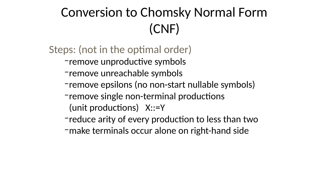## Conversion to Chomsky Normal Form (CNF)

- Steps: (not in the optimal order) –remove unproductive symbols
	- –remove unreachable symbols
	- –remove single non-terminal productions
		- (unit productions) X::=Y
			-

–remove epsilons (no non-start nullable symbols)

–reduce arity of every production to less than two –make terminals occur alone on right-hand side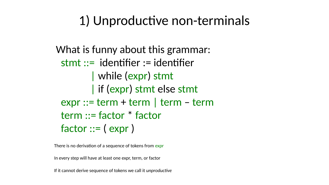## 1) Unproductive non-terminals

What is funny about this grammar: stmt ::= identifier := identifier | while (expr) stmt | if (expr) stmt else stmt expr ::= term + term | term – term term ::= factor \* factor factor ::= ( expr )

There is no derivation of a sequence of tokens from expr

In every step will have at least one expr, term, or factor

If it cannot derive sequence of tokens we call it *unproductive*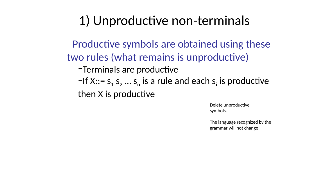## 1) Unproductive non-terminals

Productive symbols are obtained using these two rules (what remains is unproductive) –Terminals are productive –If  $X::= s_1 s_2 ... s_n$  is a rule and each  $s_i$ then X is productive

- 
- is productive

Delete unproductive symbols.

The language recognized by the grammar will not change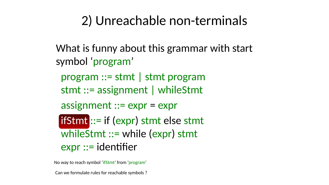## 2) Unreachable non-terminals

- What is funny about this grammar with start symbol 'program'
	- program ::= stmt | stmt program stmt ::= assignment | whileStmt
	- assignment ::= expr = expr
	- ifStmt ::= if (expr) stmt else stmt whileStmt ::= while (expr) stmt expr ::= identifier
- No way to reach symbol 'ifStmt' from 'program' Can we formulate rules for reachable symbols ?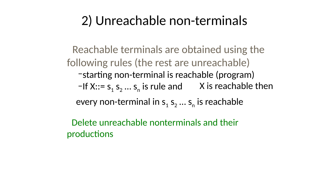## 2) Unreachable non-terminals

- Reachable terminals are obtained using the following rules (the rest are unreachable) –starting non-terminal is reachable (program)
	- $-If X:= s_1 s_2 ... s_n$  is rule and X is reachable then
		-
	- every non-terminal in  $s_1$   $s_2$  ...  $s_n$  is reachable
- Delete unreachable nonterminals and their productions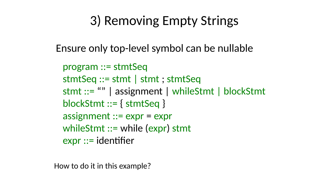# 3) Removing Empty Strings Ensure only top-level symbol can be nullable

stmt ::= "" | assignment | whileStmt | blockStmt

- 
- program ::= stmtSeq
- stmtSeq ::= stmt | stmt ; stmtSeq
	-
- blockStmt ::= { stmtSeq }
- assignment ::= expr = expr whileStmt ::= while (expr) stmt
- expr ::= identifier
- How to do it in this example?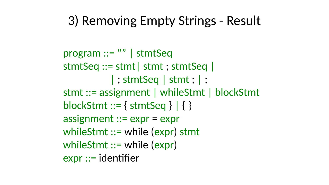## 3) Removing Empty Strings - Result

# stmt ::= assignment | whileStmt | blockStmt

 program ::= "" | stmtSeq stmtSeq ::= stmt| stmt ; stmtSeq | |; stmtSeq | stmt; |; blockStmt ::= { stmtSeq } | { } assignment ::= expr = expr whileStmt ::= while (expr) stmt whileStmt ::= while (expr) expr ::= identifier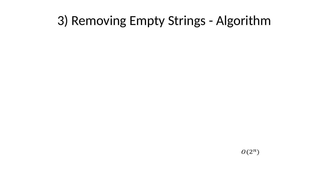## 3) Removing Empty Strings - Algorithm

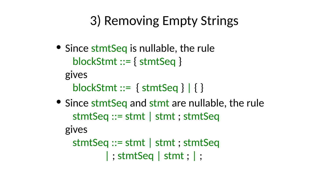## 3) Removing Empty Strings

- Since stmtSeq is nullable, the rule blockStmt ::= { stmtSeq }
	-
	-
- blockStmt ::= { stmtSeq } | { } • Since stmtSeq and stmt are nullable, the rule stmtSeq ::= stmt | stmt ; stmtSeq
	-
	- stmtSeq ::= stmt | stmt ; stmtSeq | ; stmtSeq | stmt ; | ;
		-

gives gives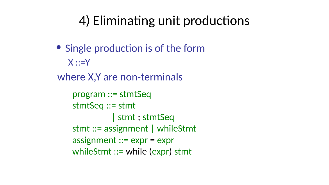$X:Y$ 

## 4) Eliminating unit productions • Single production is of the form where X,Y are non-terminals program ::= stmtSeq stmtSeq ::= stmt | stmt ; stmtSeq stmt ::= assignment | whileStmt assignment ::= expr = expr whileStmt ::= while (expr) stmt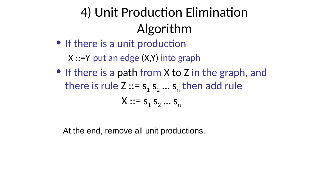

At the end, remove all unit productions.

4) Unit Production Elimination Algorithm • If there is a unit production X ::=Y put an edge (X,Y) into graph • If there is a path from X to Z in the graph, and there is rule  $Z ::= s_1 s_2 ... s_n$  then add rule  $X: S_1 S_2 \dots S_n$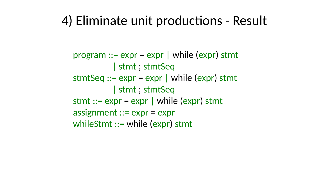## 4) Eliminate unit productions - Result

- | stmt ; stmtSeq | stmt ; stmtSeq
- 
- $program ::= expr = expr | while (expr)$  stmt stmtSeq  $::= expr = expr |$  while  $(exp)$  stmt stmt  $::= expr = expr |$  while  $(exp)$  stmt assignment ::= expr = expr
- whileStmt ::= while (expr) stmt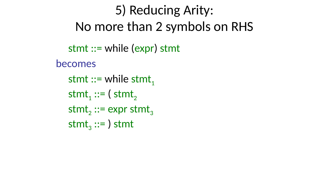becomes

## 5) Reducing Arity: No more than 2 symbols on RHS stmt ::= while (expr) stmt stmt  $::=$  while stmt,  $s$ tmt,  $::=$  (stmt, stmt,  $::=$  expr stmt,  $s$ tmt<sub>3</sub> ::= ) stmt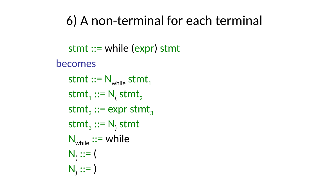# 6) A non-terminal for each terminal

- stmt ::= while (expr) stmt
	-
- stmt  $::= N_{while}$  stmt
- $stmt_1 :: = N_1$  stmt<sub>2</sub>
- stmt,  $::=$  expr stmt<sub>3</sub>
- $stmt<sub>3</sub> ::= N<sub>1</sub>$  stmt
- N<sub>while</sub> ::= while
	-
	- N<sub>)</sub> ::= )



becomes N ::= (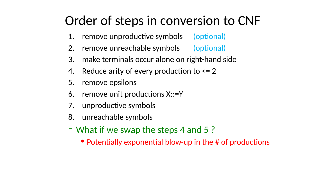## Order of steps in conversion to CNF 1. remove unproductive symbols (optional) 2. remove unreachable symbols (optional) 3. make terminals occur alone on right-hand side 4. Reduce arity of every production to  $\leq$  2 5. remove epsilons 6. remove unit productions X::=Y 7. unproductive symbols 8. unreachable symbols – What if we swap the steps 4 and 5 ? • Potentially exponential blow-up in the # of productions

- 
- 
-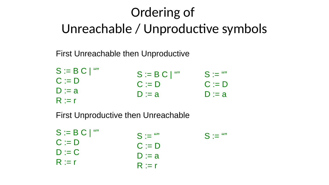## Ordering of Unreachable / Unproductive symbols

### First Unreachable then Unproductive

 $S :=$   $\frac{491}{1}$ C := D  $D := a$ S := B C | "" C := D  $D := a$ 

- 
- $S := B C |$ C := D  $D := a$
- R := r
- 
- S := B C | "" C := D  $D := C$ R := r

 $S :=$  ""  $S :=$  "" C := D  $D := a$ R := r

## First Unproductive then Unreachable